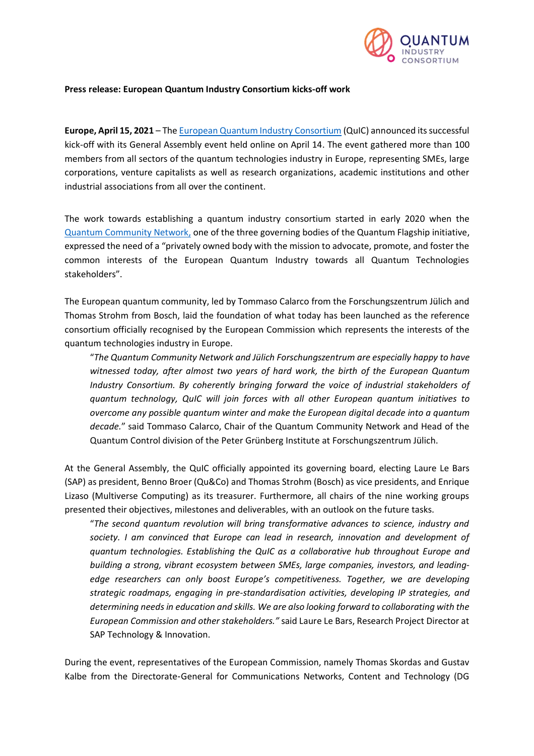

## **Press release: European Quantum Industry Consortium kicks-off work**

**Europe, April 15, 2021** – The European Quantum Industry Consortium (QuIC) announced its successful kick-off with its General Assembly event held online on April 14. The event gathered more than 100 members from all sectors of the quantum technologies industry in Europe, representing SMEs, large corporations, venture capitalists as well as research organizations, academic institutions and other industrial associations from all over the continent.

The work towards establishing a quantum industry consortium started in early 2020 when the Quantum Community Network, one of the three governing bodies of the Quantum Flagship initiative, expressed the need of a "privately owned body with the mission to advocate, promote, and foster the common interests of the European Quantum Industry towards all Quantum Technologies stakeholders".

The European quantum community, led by Tommaso Calarco from the Forschungszentrum Jülich and Thomas Strohm from Bosch, laid the foundation of what today has been launched as the reference consortium officially recognised by the European Commission which represents the interests of the quantum technologies industry in Europe.

"*The Quantum Community Network and Jülich Forschungszentrum are especially happy to have witnessed today, after almost two years of hard work, the birth of the European Quantum Industry Consortium. By coherently bringing forward the voice of industrial stakeholders of quantum technology, QuIC will join forces with all other European quantum initiatives to overcome any possible quantum winter and make the European digital decade into a quantum decade.*" said Tommaso Calarco, Chair of the Quantum Community Network and Head of the Quantum Control division of the Peter Grünberg Institute at Forschungszentrum Jülich.

At the General Assembly, the QuIC officially appointed its governing board, electing Laure Le Bars (SAP) as president, Benno Broer (Qu&Co) and Thomas Strohm (Bosch) as vice presidents, and Enrique Lizaso (Multiverse Computing) as its treasurer. Furthermore, all chairs of the nine working groups presented their objectives, milestones and deliverables, with an outlook on the future tasks.

"*The second quantum revolution will bring transformative advances to science, industry and society. I am convinced that Europe can lead in research, innovation and development of quantum technologies. Establishing the QuIC as a collaborative hub throughout Europe and building a strong, vibrant ecosystem between SMEs, large companies, investors, and leadingedge researchers can only boost Europe's competitiveness. Together, we are developing strategic roadmaps, engaging in pre-standardisation activities, developing IP strategies, and determining needs in education and skills. We are also looking forward to collaborating with the European Commission and other stakeholders."* said Laure Le Bars, Research Project Director at SAP Technology & Innovation.

During the event, representatives of the European Commission, namely Thomas Skordas and Gustav Kalbe from the Directorate-General for Communications Networks, Content and Technology (DG